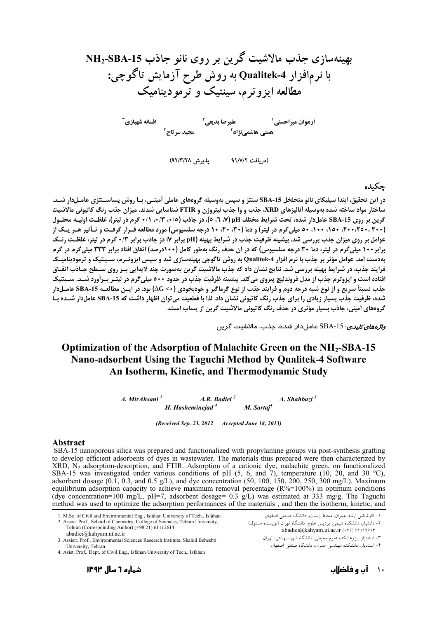بهینهسازی جذب مالاشیت گرین بر روی نانو جاذب NH2-SBA-15 با نرمافزار Qualitek-4 به روش طرح آزمایش تاگوچی: مطالعه ایزوترم، سینتیک و ترمودینامیک ارغوان میراحسنی<sup>۱</sup><br>ارغوان میراحسنی<sup>۱</sup> هستی هاشمینژاد<sup>۴</sup> میلیسی مید سرتاج۴

(دريافت ٩١/٧/٢ - يذيرش ٩٢/٣/٢٨)

### چكىدە

در این تحقیق، ابتدا سیلیکای نانو متخلخل 15-SBA سنتز و سپس بهوسیله گروههای عاملی آمینـی، بـا روش پساسـنتزی عامـلدار شــد. ساختار مواد ساخته شده بهوسیله آنالیزهای XRD، جذب و وا جذب نیتروژن و FTIR شناسایی شدند. میزان جذب رنگ کاتیونی مالاشیت گرین بر روی SBA-15 عاملدار شده، تحت شرایط مختلف pH (7، ۷)، دز جاذب (۰/۵، ۰/۳، ۱/۰ گرم در لیتر)، غلظـت اولیـه محلـول (۲۰۰٬۲۰۰٬۲۰۰٬۲۰۰٬۲۰۰) ۵۰ میلی گرم در لیتر) و دما (۳۰، ۲۰، ۱۰ درجه سلسیوس) مورد مطالعه قـرار گرفـت و تـأثیر هـر یـک از عوامل بر روی میزان جذب بررسی شد. بیشینه ظرفیت جذب در شرایط بهینه (pH برابر ۷؛ دز جاذب برابر ۰/۳ گرم در لیتر، غلظت رنگ برابر ۱۰۰ میلی گرم در لیتر، دما ۳۰ درجه سلسیوس) که در آن حذف رنگ بهطور کامل (۱۰۰درصد) اتفاق افتاد برابر ۳۳۳ میلی گرم در گرم بهدست آمد. عوامل مؤثر بر جذب با نرم افزار Qualitek-4 به روش تاگوچی بهینهسازی شد و سپس ایزوتـرم، سـینتیک و ترمودینامیـک فرايند جذب، در شرايط بهينه بررسي شد. نتايج نشان داد كه جذب مالاشيت گرين بهصورت چند لايهايي ب روي سـطح جـاذب اتفـاق افتاده است و ایزوترم جذب از مدل فروندلیچ پیروی میکند. بیشینه ظرفیت جذب در حدود ٥٠٠ میلیگرم در لیتـر بـرأورد شـد. سـینتیک جذب نسبتاً سريع و از نوع شبه درجه دوم و فرايند جذب از نوع گرماگير و خودبخودي (+> 5∆) بود. در ايـن مطالعـه 15-SBA عامـلدار شده، ظرفیت جذب بسیار زیادی را برای جذب رنگ کاتیونی نشان داد. لذا با قطعیت می توان اظهار داشت که SBA-15 عاملدار شــده بـا گروههای اَمینی، جاذب بسیار مؤثری در حذف رنگ کاتیونی مالاشیت گرین از پساب است.

*واڑەھای کلیدی:* SBA-15 عاملدار شده، جذب، مالاشیت گرین

## Optimization of the Adsorption of Malachite Green on the  $NH_2$ -SBA-15 Nano-adsorbent Using the Taguchi Method by Qualitek-4 Software An Isotherm, Kinetic, and Thermodynamic Study

A. MirAhsani A. Shahbazi<sup>3</sup> A.R. Badiei<sup>2</sup> H. Hasheminejad<sup>4</sup> M. Sartai<sup>4</sup>

(Received Sep. 23, 2012 Accepted June 18, 2013)

#### **Abstract**

SBA-15 nanoporous silica was prepared and functionalized with propylamine groups via post-synthesis grafting to develop efficient adsorbents of dyes in wastewater. The materials thus prepared were then characterized by XRD, N<sub>2</sub> adsorption-desorption, and FTIR. Adsorption of a cationic dye, malachite green, on functionalized SBA-15 was investigated under various conditions of pH (5, 6, and 7), temperature (10, 20, and 30 °C), adsorbent dosage (0.1, 0.3, and 0.5 g/L), and dye concentration (50, 100, 150, 200, 250, 300 mg/L). Maximum equilibrium adsorption capacity to achieve maximum removal percentage  $(R\% = 100\%)$  in optimum conditions (dye concentration=100 mg/L, pH=7, adsorbent dosage=  $0.3$  g/L) was estimated at 333 mg/g. The Taguchi method was used to optimize the adsorption performances of the materials, and then the isotherm, kinetic, and

<sup>4.</sup> Asist. Prof., Dept. of Civil Eng., Isfahan University of Tech., Isfahan



١- كارشناس ارشد عمران، محيط زيست، دانشگاه صنعتى اصفهان ۲– دانشیار، دانشکده شیمی، پردیس علوم، دانشگاه تهران (نویسنده مسئول)

۳– استادیار، پژوهشکده علوم محیطی، دانشگاه شهید بهشتی، تهران

۴– استادیار، دانشکده مهندسی عمران، دانشگاه صنعتی اصفهان

abadiei@kahyam.ut.ac.ir (٢١) ١١١٢٢١٢

<sup>1.</sup> M.Sc. of Civil and Environmental Eng., Isfahan University of Tech., Isfahan 2. Assoc. Prof., School of Chemsitry, College of Sciences, Tehran University,

Tehran (Correspoinding Author) (+98 21) 61112614

abadiei@kahvam.ut.ac.ir

<sup>3.</sup> Assisit, Prof., Environmental Sciences Research Institute, Shahid Beheshti University. Tehran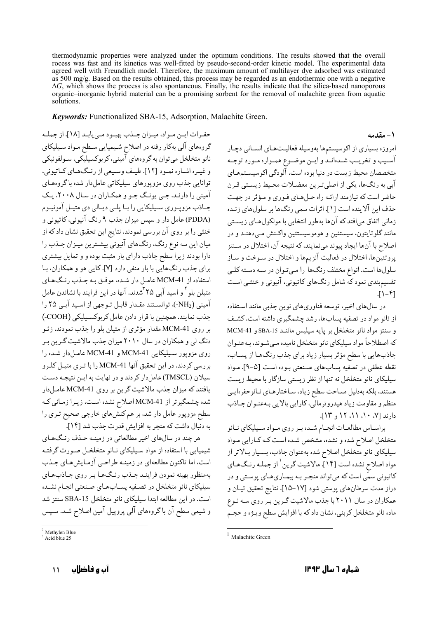thermodynamic properties were analyzed under the optimum conditions. The results showed that the overall rocess was fast and its kinetics was well-fitted by pseudo-second-order kinetic model. The experimental data agreed well with Freundlich model. Therefore, the maximum amount of multilayer dye adsorbed was estimated as 500 mg/g. Based on the results obtained, this process may be regarded as an endothermic one with a negative  $\Delta G$ , which shows the process is also spontaneous. Finally, the results indicate that the silica-based nanoporous organic-inorganic hybrid material can be a promising sorbent for the removal of malachite green from aquatic solutions.

**Keywords:** Functionalized SBA-15, Adsorption, Malachite Green.

حفيرات ايس ميواد، مييزان جيذب بهبيود ميي بابيد [١٨]. از جمليه گروههای آلی بهکار رفته در اصلاح شیمیایی سطح مـواد سـیلیکای نانو متخلخل مي توان به گروههاي آميني، کربوکسيليکي، سـولفونيکي و غیره اشاره نمود [۱۲]. طیف وسیعی از رنگهای کیاتیونی، توانایی جذب روی مزویورهای سیلیکاتی عاملدار شده باگروههای آمینی را دارنـد. جـی یونـگ جـو و همکـاران در سـال ۲۰۰۸، یـک جـاذب مزوپـوري سـيليکايي را بـا پلـي ديـالي دي متيـل آمونيـوم (PDDA) عامل دار و سپس میزان جذب ۹ رنگ آنیونی، کاتیونی و خنثی را بر روی آن بررسی نمودند. نتایج این تحقیق نشان داد که از میان این سه نوع رنگ، رنگهای آنیونی بیشـترین میـزان جـذب را دارا بودند زیرا سطح جاذب دارای بار مثبت بوده و و تمایل بیشتری برای جذب رنگ هایی با بار منفی دارد [۷]. کایی هو و همکاران، با استفاده از MCM-41 عامـل دار شـده، موفـق بـه جـذب رنـگ۱عـاي متیلن بلو<sup>۲</sup> و اسید آبی ۲۵<sup>۳</sup>شدند. آنها در این فرایند با نشاندن عامل آمینی (NH2-)، توانستند مقـدار قابـل تـوجهی از اسـید آبـی ۲۵ را جذب نمايند. همچنين با قرار دادن عامل كربوكسيليكي (COOH) بر روی MCM-41 مقدار مؤثری از متیلن بلو را جذب نمودند. زئـو دنگ لی و همکاران در سال ۲۰۱۰ میزان جذب مالاشیت گرین بر روی مزوپور سیلیکایی MCM-41 و MCM-41 عامل دار شده را بررسی کردند. در این تحقیق آنها MCM-41 را با تـری متیـل کلـرو سیلان (TMSCL) عامل دار کردند و در نهایت به این نتیجـه دسـت یافتند که میزان جذب مالاشیت گرین بر روی MCM-41 عامل دار شده چشمگیرتر از MCM-41 اصلاح نشده است، زیرا زمانی که سطح مزوپور عامل دار شد، بر هم كنش هاي خارجي صحيح تـري را به دنبال داشت که منجر به افزایش قدرت جذب شد [۱۴].

هر چند در سالهای اخیر مطالعاتی در زمینـه حـذف رنـگ۱عـای شیمیایی با استفاده از مواد سـیلیکای نـانو متخلخـل صـورت گرفتـه است، اما تاکنون مطالعهای در زمینـه طراحـی آزمـایش هـای جـذب بهمنظور بهينه نمودن فراينـد جـذب رنـگ1عـا بـر روى جـاذبهـاي سيليكاي نانو متخلخل در تصفيه يسـابهـاي صـنعتي انجـام نشـده است. در این مطالعه ابتدا سیلیکای نانو متخلخل SBA-15 سنتز شد و شیمی سطح آن با گروههای آلبی پروپیل آمین اصلاح شـد. سـپس

١- مقدمه امروزه بسیاری از اکوسیستمها بهوسیله فعالیتهای انسانی دچار آسـيب و تخريـب شـدهانـد و ايــن موضـوع همـواره مـورد توجـه متخصصان محیط زیست در دنیا بوده است. آلودگی اکو سیسـتمهـای آبي به رنگها، يكي از اصلي تـرين معضـلات محـيط زيسـتي قـرن حاضر است که نیازمند ارائه راه حلهای فوری و مؤثر در جهت حذف این آلاینده است [۱]. اثرات سمی رنگها بر سلولهای زنـده زماني اتفاق مي افتد كه آنها بهطور انتخابي با مولكولهاي زيستي مانند گلو تايتون، سيستئين و هوموسيستئين واكـنش مـي،دهنـد و در اصلاح با آنها ايجاد پيوند مي نمايند، كه نتيجه آن، اختلال در سـنتز پروتئینها، اختلال در فعالیت آنزیمها و اختلال در سـوخت و سـاز سلولها است. انواع مختلف رنگها را مبی تبوان در سـه دسـته کلبی تقسیم بندی نمود که شامل رنگ های کاتیونی، آنیونی و خنثبی است  $[1-\ell]$ .

در سال های اخیر، توسعه فناوری های نوین جذبی مانند استفاده از نانو مواد در تصفیه پسابها، رشد چشمگیری داشته است. کشف و سنتز مواد نانو متخلخل بر پايه سيليس ماننـد SBA-15 و MCM-41 كه اصطلاحاً مواد سيليكاي نانو متخلخل ناميده مي شـوند، بـهعنـوان جاذب هایی با سطح مؤثر بسیار زیاد برای جذب رنگ هـا از پسـاب، نقطه عطفي در تصفيه يساب هاي صنعتي بـوده است [۵-۹]. مـواد سیلیکای نانو متخلخل نه تنها از نظر زیستی سازگار با محیط زیست هستند. بلکه بهدلیل مساحت سطح زیاد، سـاختارهـای نـانوحفرهایـی منظم و مقاومت زياد هيدروترمالي، كارايي بالايي بهعنوان جاذب  $. [Y, Y]$  (i), 11, 11, 11, 11].

براسـاس مطالعـات انجـام شـده بـر روى مـواد سـيليكاي نـانو متخلخل اصلاح شده و نشده، مشخص شده است کـه کـارايي مـواد سیلیکای نانو متخلخل اصلاح شده بهعنوان جاذب، بسـیار بـالاتر از مواد اصلاح نشده است [۱۴]. مالاشیت گرین <sup>۱</sup> از جملـه رنـگ&ـای کاتيوني سمّي است که مي تواند منجـر بـه بيمـاريهـاي پوسـتي و در دراز مدت سرطانهای پوستی شود [۱۷-۱۵]. نتایج تحقیق تیـان و همکاران در سال ۲۰۱۱ با جذب مالاشیت گـرین بـر روی سـه نـوع ماده نانو متخلخل كربني، نشان داد كه با افزايش سطح ويـژه و حجـم

 $2$  Methylen Blue  $3$  Acid blue 25

<sup>&</sup>lt;sup>1</sup> Malachite Green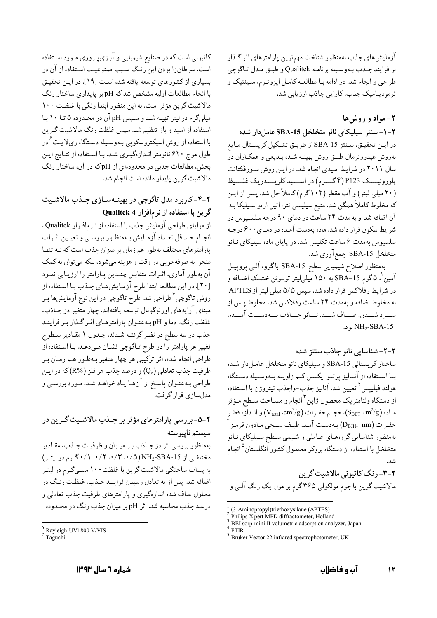آزمایش های جذب بهمنظور شناخت مهمترین پارامترهای اثر گـذار بر فرايند جـذب بــهوسـيله برنامــه Qualitek و طبــق مــدل تــاگوچى طراحی و انجام شد. در ادامه بـا مطالعـه کامـل ایزوتـرم، سـینتیک و ترمودینامیک جذب، کارایی جاذب ارزیابی شد.

### ۲- مواد و روش ها ۲-۱-سنتز سیلیکای نانو متخلخل SBA-15 عامل دار شده

در ایـن تحقیـق، سـنتز SBA-15 از طریـق تشـکیل کریسـتال مـایع بهروش هیدروترمال طبـق روش بهینـه شـده بـدیعی و همکـاران در سال ۲۰۱۱ در شرایط اسیدی انجام شد. در ایـن روش سـورفکتانت پلورونيسک P123 (۴گسرم) در اسسيد کلريسدريک غلسيظ (۲۰ میلی لیتر) و آب مقطر (۱۰۴ گرم) کاملاً حل شد. پـس از ایـن که مخلوط کاملاً همگن شد، منبع سیلیسی تترا اتیل ارتو سیلیکا بـه آن اضافه شد و به مدت ۲۴ ساعت در دمای ۹۰ درجه سلسیوس در شرایط سکون قرار داده شد. ماده بهدست آمـده در دمـای ۶۰۰ درجـه سلسیوس بهمدت ۶ ساعت تکلیس شد. در پایان ماده سیلیکای نـانو متخلخل SBA-15 جمع آوري شد.

بهمنظور اصلاح شیمیایی سطح SBA-15 باگروه آلــی پروپیــل آمين '، ۵گرم SBA–15 به ۱۵۰ ميلي ليتر تولـوئن خشـک اضـافه و در شرایط رفلاکس قرار داده شد. سپس ۵/۵ میلی لیتر از APTES به مخلوط اضافه و بهمدت ٢۴ ساعت رفلاكس شد. مخلوط پـس از ســـرد شـــدن، صـــاف شـــد. نـــانو جـــاذب بـــهدســت آمـــده، NH<sub>2</sub>-SBA-15 بود.

۲-۲- شناسایی نانو جاذب سنتز شده

ساختار کریستالی SBA-15 و سیلیکای نانو متخلخل عاملدار شده بــا اســتفاده از آنــاليز پرتــو ايكــس كــم زاويــه بــهوســيله دســتگاه هولند فيليپس <sup>۲</sup> تعيين شد. آناليز جذب–واجذب نيتروژن با اسـتفاده از دستگاه ولتامتریک محصول ژاپن <sup>۳</sup> انجام و مسـاحت سـطح مـؤثر ماده (S $_{\rm BET}$  ،  $\rm m^2/g$ )، حجـم حفـرات (V $_{\rm total}$  ،  $\rm cm^3/g$ و انـدازه قطـر حفـرات (D<sub>BJH</sub>, nm) بـهدسـت آمـد. طيـف سـنجي مـادون قرمـز بهمنظور شناسایی گروههای عـاملی و شـیمی سـطح سـیلیکای نـانو متخلخل با استفاده از دستگاه بروکر محصول کشور انگلستان<sup>۵</sup>انجام شد.

٢-٣- رنگ کاتيوني مالاشيت گرين مالاشیت گرین با جرم مولکولی ۳۶۵گرم بر مول یک رنگ آلـی و

کاتیونی است که در صنایع شیمیایی و آبـزیپـروری مـورد اسـتفاده است. سرطانزا بودن این رنـگ سـبب ممنوعیـت اسـتفاده از آن در بسیاری از کشورهای توسعه یافته شده است [۱۹]. در این تحقیق با انجام مطالعات اولیه مشخص شد که pH بر پایداری ساختار رنگ مالاشیت گرین مؤثر است. به این منظور ابتدا رنگی با غلظت ۱۰۰ میلیگرم در لیتر تهیـه شـد و سـپس pH آن در محـدوده ۵ تـا ۱۰ بـا استفاده از اسید و باز تنظیم شد. سپس غلظت رنگ مالاشیت گــرین با استفاده از روش اسپکتروسکوپی بـهوسـیله دسـتگاه ریلایـت ٔ در طول موج ۶۲۰ نانومتر انـدازهگیـری شـد. بـا اسـتفاده از نتـایج ایـن بخش، مطالعات جذبی در محدودهای از pHکه در آن، ساختار رنگ مالاشيت گرين پايدار مانده است انجام شد.

# ۲-۴-کاربرد مدل تاگوچی در بهینـهسـازی جـذب مالاشـیت گرین با استفاده از نرمافزار Qualitek-4

از مزاياي طراحي آزمايش جذب با استفاده از نرم افزار Qualitek. انجـام حـداقل تعـداد آزمـايش بـهمنظـور بررسـي و تعيـين اثـرات پارامترهای مختلف بهطور هم زمان بر میزان جذب است که نـه تنهـا منجر به صرفهجویی در وقت و هزینه میشود، بلکه میتوان به کمک آن بهطور آماري، اثـرات متقابـل چنـدين پـارامتر را ارزيـابي نمـود [٢٠]. در اين مطالعه ابتدا طرح آزمـايشهـاي جـذب بـا اسـتفاده از روش تاگوچی<sup>۷</sup>طراحی شد. طرح تاگوچی در این نوع آزمایشها بـر مبنای آرایههای اورتوگونال توسعه یافتهاند. چهار متغیر دز جـاذب. غلظت رنگ، دما و pH بهعنـوان پارامترهـاي اثـر گـذار بـر فراينـد جذب در سه سطح در نظـر گرفتـه شـدند. جـدول ١ مقـادير سـطوح تغییر هر پارامتر را در طرح تـاگوچی نشـان مـیدهـد. بـا اسـتفاده از طراحی انجام شده، اثر ترکیبی هر چهار متغیر بـهطـور هـم زمـان بـر ظرفیت جذب تعادلی (Qe) و درصد جذب هر فلز (R%) که در ایـن طراحي بـهعنـوان پاسـخ از آنهـا يـاد خواهـد شـد، مـورد بررسـي و مدلسازي قرار گرفت.

# ۲-۵- بررسی پارامترهای مؤثر بر جـذب مالاشـیت گـرین در سيستم ناپيوسته

بهمنظور بررسی اثر دز جاذب بر میزان و ظرفیت جـذب، مقـادیر مختلفی از NH2-SBA-15 (۰/۲ .۰/۲ .۰ /۲ .۰ ) گرم در لیتر) به پساب ساختگی مالاشیت گرین با غلظت ۱۰۰ میلـیگـرم در لیتـر اضافه شد. پس از به تعادل رسیدن فراینـد جـذب، غلظـت رنـگ در محلول صاف شده اندازهگیری و پارامترهای ظرفیت جذب تعادلی و درصد جذب محاسبه شد. اثر pHبر میزان جذب رنگ در محـدوده

<sup>(3-</sup>Aminopropyl)triethoxysilane (APTES)

Philips X'pert MPD diffractometer, Holland

BELsorp-mini II volumetric adsorption analyzer, Japan

**FTIR** Bruker Vector 22 infrared spectrophotometer, UK

 $\frac{6}{5}$  Rayleigh-UV1800 V/VIS

 $7$  Taguchi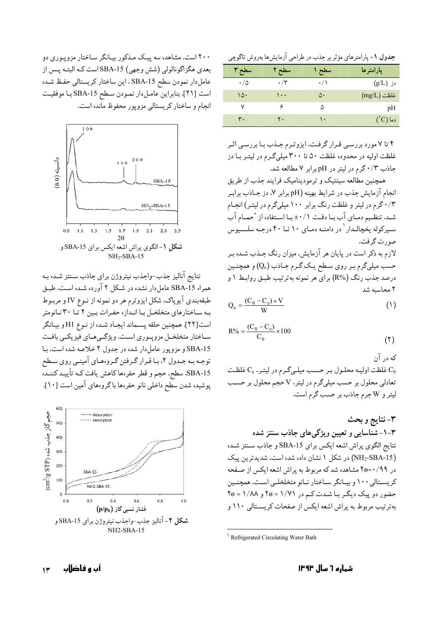جدول ١- پارامترهاي مؤثر بر جذب در طراحي آزمايش ها بهروش تاگوچي

| سطح ۳          | سطح ۲        | سطح ۱    | بارامترها     |
|----------------|--------------|----------|---------------|
| $\cdot/\Delta$ | $\cdot/\tau$ | $\cdot/$ | دز (g/L)      |
| ۱۵۰            | ۰۰۱          | ۵۰       | $(mg/L)$ غلظت |
| ٧              | ۶            | ۵        | pH            |
| ۳۰             | ۲.           | ۱.       | $(C)$ دما     |

۴ تا ۷ مورد بررسی قـرار گرفـت. ایزوتـرم جـذب بـا بررسـی اثـر غلظت اولیه در محدوده غلظت ۵۰ تا ۳۰۰میلی گـرم در لیتـر بـا دز جاذب ۰/۳ گرم در لیتر در pH برابر ۷ مطالعه شد.

همچنین مطالعه سینتیک و ترمودینامیک فرایند جذب از طریق انجام آزمایش جذب در شرایط بهینه (pH برابر ۷، دز جـاذب برابـر ۰/۳ گرم در لیتر و غلظت رنگ برابر ۱۰۰ میلیگرم در لیتـر) انجـام شـد. تنظـیم دمـای آب بـا دقـت 1/۰± بـا اسـتفاده از "حمـام آب سیږ کوله پخچالـدار `در دامنـه دمـای ۱۰ تــا ۴۰ درجـه سلسـیوس صورت گرفت. لازم به ذکر است در پایان هر آزمایش، میزان رنگ جـذب شـده بـر حسب میلیگرم بـر روی سـطح یـک گـرم جـاذب (Q<sub>e</sub>) و همچنـین درصد جذب رنگ (R%) برای هر نمونه بهترتیب طبـق روابـط ١ و ٢ محاسبه شد

$$
Q_e = \frac{(C_0 - C_e) \times V}{W}
$$
 (1)

$$
R\% = \frac{(C_0 - C_e)}{C_0} \times 100
$$
 (7)

که در آن نطقت اولیه محلول بر حسب میلمیگرم در لیتـر، ،C غلظـت C تعادلی محلول بر حسب میلیگرم در لیتر، V حجم محلول بر حسب ليتر و W جرم جاذب بر حسب گرم است.

۲۰۰ است. مشاهده سه پیک مـذکور بیـانگر سـاختار مزویـوری دو بعدي هگزاگونالولي (شش وجهي) SBA-15 است كـه البتـه يـس از عاملدار نمودن سطح SBA-15 ، این ساختار کریستالی حفظ شـده است [٢١]. بنابراين عاملدار نمـودن سـطح SBA-15 بـا موفقيت انجام و ساختار كريستالي مزوپور محفوظ مانده است.



نتايج آناليز جذب-واجذب نيتروژن براي جاذب سـنتز شـده بـه همراه SBA-15 عاملدار نشده در شكل ۲ آورده شـده است. طبـق طبقهبندی آیوپاک، شکل ایزوترم هر دو نمونه از نـوع IV و مربـوط به ساختارهای متخلخل با اندازه حفرات بین ٢ تا ٣٠ نانومتر است[٢٢]. همچنين حلقه يسماند ايجـاد شـده از نـوع H1 وبيـانگر ساختار متخلخـل مزوپـوري اسـت. ويژگـيهـاي فيزيكـي بافـت SBA-15 و مزويور عامل دار شده در جدول ٢ خلاصه شده است. با توجـه بـه جـدول ٢، بـا قـرار گـرفتن گـروههـاي آمينـي روي سـطح SBA-15، سطح، حجم و قطر حفرهها كاهش يافت كـه تأييـد كننـدّه پوشیده شدن سطح داخلی نانو حفرهها باگروههای آمین است [۱۰].



<sup>&</sup>lt;sup>1</sup> Refrigerated Circulating Water Bath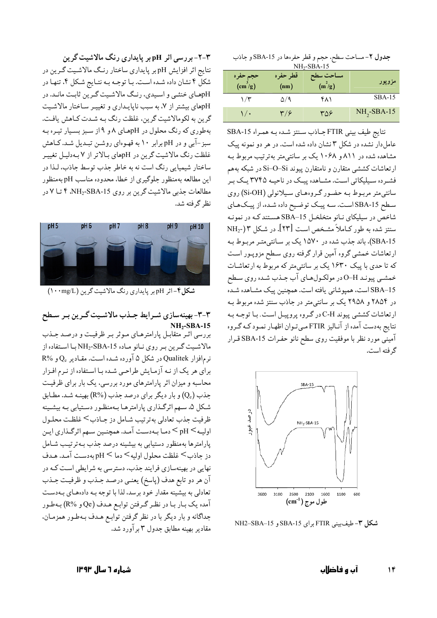| <b>جدول ۲</b> – مساحت سطح، حجم و قطر حفرهها در SBA-15 و جاذب |
|--------------------------------------------------------------|
| $NH2-SBA-15$                                                 |

| $1117 - 317 - 17$               |                  |                                            |              |  |  |
|---------------------------------|------------------|--------------------------------------------|--------------|--|--|
| حجم حفره<br>(m <sup>3</sup> /g) | قطر حفره<br>(nm) | امساحت سطح<br>$\left(\frac{m^2}{g}\right)$ | مزوپور       |  |  |
| ۱/۳                             | ۵/۹              | ۴۸۱                                        | $SBA-15$     |  |  |
| ۱/۰                             | ۳/۶              | ۳۵۶                                        | $NH2-SBA-15$ |  |  |

نتايج طيف بيني FTIR جـاذب سـنتز شـده بـه همـراه SBA-15 عامل دار نشده در شکل ۳ نشان داده شده است. در هر دو نمونه پیک مشاهده شده در ۸۱۱ و ۱۰۶۸ یک بر سانتی متر به ترتیب مربوط بـه ارتعاشات کششی متقارن و نامتقارن پیوند Si–O–Si در شبکه بههم فشـرده سـیلیکاتی اسـت. مشـاهده پیـک در ناحیـه ۳۷۴۵ یـک بـر سانتي متر مربـوط بـه حضـور گـروههـاي سـيلانولي (Si-OH) روي سطح SBA-15 است. سه پیک توضیح داده شده، از پیکهای شاخص در سیلیکای نـانو متخلخـل SBA-15 هسـتند کـه در نمونـه سنتز شده به طور کـاملاً مشـخص اسـت [۲۳]. در شـکل ۳(-NH2 SBA-15)، باند جذب شده در ۱۵۷۰ یک بر سـانتیمتـر مربـوط بـه ارتعاشات خمشي گروه آمين قرار گرفته روي سطح مزويـور اسـت که تا حدی با پیک ۱۶۳۰ یک بر سانتی متر که مربوط به ارتعاشـات خمشـي پيونـد O-H در مولكـولھـاي آب جـذب شـده روي سـطح SBA-15 است، همپوشاني يافته است. همچنين پيک مشـاهده شـده در ۲۸۵۴ و ۲۹۵۸ یک بر سانتی متر در جاذب سنتز شده مربوط بـه ارتعاشات کششی پیوند C-H در گروه پروپیل است. با توجه به نتايج بهدست آمده از آنـاليز FTIR مـىتـوان اظهـار نمـودكـه گـروه آمینی مورد نظر با موفقیت روی سطح نانو حفـرات SBA-15 قـرار گر فته است.



شكل ٣- طيف بيني FTIR براي SBA-15 و NH2–SBA–15

۲-۳- بر رسی اثر pH بر پایداری رنگ مالاشیت گرین نتايج اثر افزايش pH بر پايداري ساختار رنـگ مالاشـيت گـرين در شکل ۴ نشان داده شـده اسـت. بـا توجـه بـه نتـايج شـکل ۴، تنهـا در pHههای خنثـی و اسـیدی، رنـگ مالاشـیت گـرین ثابـت مانـد. در pHهای بیشتر از ۷، به سبب نایایـداری و تغییـر سـاختار مالاشـیت گرين به لكومالاشيت گرين، غلظت رنگ بـه شـدت كـاهش يافـت. بهطوری که رنگ محلول در pHهای ۸ و ۹ از سبز بسیار تیره به سبز-آبی و در pH برابر ۱۰ به قهـوهای روشـن تبـدیل شـد. کـاهش غلظت رنگ مالاشیت گرین در pHهای بالاتر از ۷ بهدلیل تغییر ساختار شیمیایی رنگ است نه به خاطر جذب توسط جاذب، لـذا در این مطالعه بهمنظور جلوگیری از خطا، محدوده مناسب pH بهمنظور مطالعات جذبي مالاشيت گرين بر روي NH2-SBA-15. ٤ تـا ٧ در نظر گرفته شد.



 $(1 \cdot \cdot \text{mg/L})$  شکا ۴٫-اثر  $\text{pH}$  با بایداری رنگ مالاشیت گرین

### ۳-۳- بهینهسازی شـرایط جـذب مالاشـیت گـرین بـر سـطح  $NH<sub>2</sub>-SBA-15$

بررسی اثر متقابل پارامترهای موثر بر ظرفیت و درصد جـذب مالاشيت گرين بر روي نانو ماده NH2-SBA-15 با استفاده از نرم افزار Qualitek در شکل ۵ آورده شـده اسـت. مقـادير Q<sub>e</sub> و %R برای هر یک از نـه آزمـایش طراحـی شـده بـا اسـتفاده از نـرم افـزار محاسبه و میزان اثر پارامترهای مورد بررسی، یک بار برای ظرفیت جذب (Q<sub>e</sub>) و بار دیگر برای درصد جذب (R%) بهینـه شـد. مطـابق شکل ۵، سهم اثرگـذاري پارامترهـا بـهمنظـور دسـتيابي بـه بيشـينه ظرفيت جذب تعادلي بهترتيب شـامل دز جـاذب> غلظت محلـول اولیـه> pH > دمـا بـهدسـت آمـد. همچنـین سـهم اثرگـذاري ایـن يارامترها بهمنظور دستيابي به بيشينه درصد جذب بـهترتيـب شـامل دز جاذب> غلظت محلول اوليه> دما > pH بهدست آمـد. هـدف نهایی در بهینهسازی فرایند جذب، دسترسی به شرایطی است کـه در آن هر دو تابع هدف (پاسخ) يعنـي درصـد جـذب و ظرفيـت جـذب تعادلی به بیشینه مقدار خود برسد، لذا با توجه بـه دادهمای بـهدسـت آمده یک بـار بـا در نظـر گـرفتن توابـع هـدف (Qe و %R) بـهطـور جداگانه و بار دیگر با در نظر گرفتن توابـع هـدف بـهطـور همزمـان، مقادیر بهینه مطابق حدول ۳ بر آورد شد.

> آں و فاضلاں  $14$

شماره ٦ سال ۱۳۹۳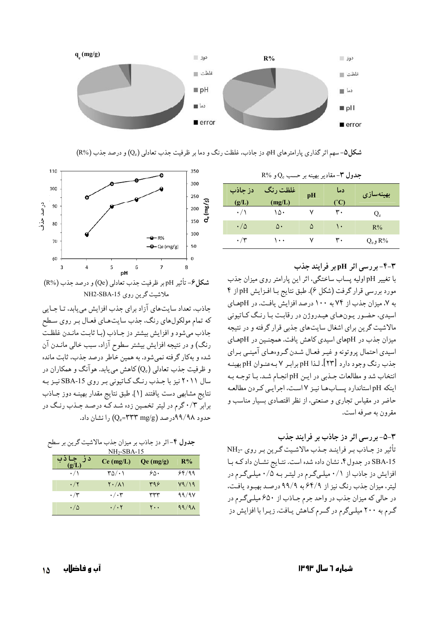

شکل۵- سهم اثر گذاری پارامترهای pH، دز جاذب، غلظت رنگ و دما بر ظرفیت جذب تعادلی (Q<sub>e</sub>) و درصد جذب (R%)

| جدوں ۱– مقادیر بھیته بر حسب Q <sub>e</sub> و ۸۰/۵ |          |    |               |            |  |  |
|---------------------------------------------------|----------|----|---------------|------------|--|--|
| دز جاذب                                           | غلظت رنگ | pH | دما           | بهينهسازي  |  |  |
| (g/L)                                             | (mg/L)   |    | $^{\circ}$ C) |            |  |  |
| $\cdot/$                                          | ۱۵۰      |    | ۳۰            | Q,         |  |  |
| $\cdot/\Delta$                                    | ۵۰       | ۵  | ۱۰            | $R\%$      |  |  |
| $\cdot$ /۳                                        | ۰۰۱      |    | ۳.            | $Q_e$ و R% |  |  |

### ۴-۳- بررسی اثر pH بر فرایند جذب

با تغییر pH اولیه پساب ساختگی، اثر این پارامتر روی میزان جذب مورد بررسي قرار گرفت (شكل ۶). طبق نتايج بـا افـزايش pH از ۴ به ۷، میزان جذب از ۷۴ به ۱۰۰ درصد افزایش یافت. در pHهای اسيدي، حضور يون هاي هيـدروژن در رقابت بـا رنـگ كـاتيوني مالاشیت گرین برای اشغال سایتهای جذبی قرار گرفته و در نتیجه میزان جذب در pHهای اسیدی کاهش یافت. همچنین در pHهای اسیدی احتمال پروتونه و غیبر فعبال شیدن گیروههای آمینبی بیرای جذب رنگ وجود دارد [۲۳]. لـذا pH برابـر ۷ بـهعنـوان pH بهينـه انتخاب شد و مطالعات جـذبي در ايـن pH انجـام شـد. بـا توجـه بـه اینکه pH استاندارد یسابها نیز ۷ است، اجرایی کردن مطالعه حاضر در مقیاس تجاری و صنعتی، از نظر اقتصادی بسیار مناسب و مقرون به صرفه است.

### ٣-۵-بررسی اثر دز جاذب بر فرایند جذب

تأثير دز جـاذب بـر فراينـد جـذب مالاشـيت گـرين بـر روي -NH2 SBA-15 در جدول۴، نشان داده شده است. نتـايج نشـان داد كـه بـا افزایش دز جاذب از ۰/۱ میلـیگـرم در لیتـر بـه ۰/۵ میلـیگـرم در لیتر، میزان جذب رنگ نیز از ۶۴/۹ به ۹۹/۹ درصد بهبود یافت، در حالي كه ميزان جذب در واحد جرم جـاذب از ۶۵۰ ميلـيگـرم در گرم به ۲۰۰ میلهگرم در گرم کاهش یافت. زیرا با افزایش دز



شكل ۶٫- تأثير pH بر ظرفيت جذب تعادلي (Qe) و درصد جذب (R%) ملاشىت گرېن روى NH2-SBA-15

جاذب، تعداد سایتهای آزاد برای جذب افزایش می یابد، تـا جـایی که تمام مولکولهای رنگ، جذب سایتهـای فعـال بـر روی سـطح جاذب مي شود و افزايش بيشتر دز جـاذب (بـا ثابـت مانـدن غلظـت رنگ) و در نتیجه افزایش بیشتر سطوح آزاد، سبب خالبی مانـدن آن شده و بهکار گرفته نمی شود. به همین خاطر درصد جذب، ثابت مانده و ظرفیت جذب تعادلی (Q<sub>e</sub>) کاهش می یابد. هو آنگ و همکاران در سال ۲۰۱۱ نیز با جـذب رنـگ کـاتیونی بـر روی SBA-15 نیـز بـه نتايج مشابهي دست يافتند [١]. طبق نتايج مقدار بهينـه دوز جـاذب برابر ۰/۳ گرم در لیتر تخمین زده شد کـه درصـد جـذب رنـگ در حدود ۹۹/۹۸درصد (Q<sub>e</sub>=۳۳۳ mg/g) را نشان داد.

جدول ۴-اثر دز جاذب بر میزان جذب مالاشیت گرین بر سطح<br>NH SPA 15

| دز جاذب<br>(g/L) | Ce (mg/L)                       | Qe (mg/g) | R%                |
|------------------|---------------------------------|-----------|-------------------|
| $\cdot/$         | $r_0/\cdot$                     | ۶۵۰       | 88/99             |
| $\cdot/7$        | $\mathbf{Y} \cdot / \mathbf{A}$ | ۳۹۶       | Y9/19             |
| $\cdot$ /۳       | $\cdot/\cdot$ ۳                 | ۳۳۳       | 99/97             |
| $\cdot/\Delta$   | $\cdot/\cdot$ ۲                 | ۲۰۰       | 99/9 <sub>A</sub> |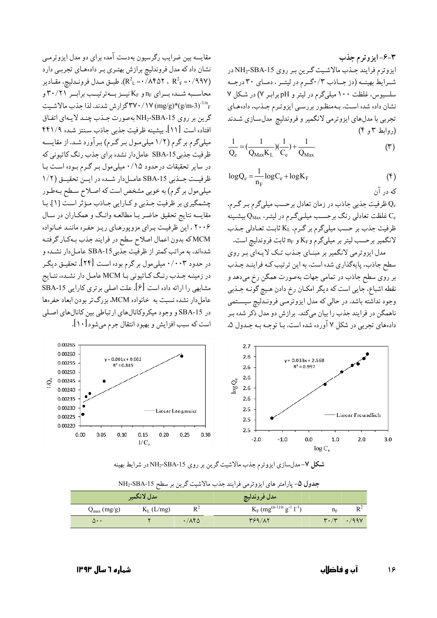۳-۶-ایزوترم جذب ایزوترم فرایند جـذب مالاشـیت گـرین بـر روی NH2-SBA-15 در شرايط بهينــه (دز جــاذب ٣/ •گــرم در ليتــر ، دمــاى ٣٠ درجــه سلسیوس، غلظت ۱۰۰ میلیگرم در لیتر و pH برابر ۷) در شکل ۷ نشان داده شده است. بـهمنظـور بررسـي ايزوتـرم جـذب، دادههـاي تجربي با مدلهاي ايزوترمي لانگمير و فروندليچ مدلسازي شدند (روابط ۳ و ۴)

$$
\frac{1}{Q_e} = (\frac{1}{Q_{Max}K_L})(\frac{1}{C_e}) + \frac{1}{Q_{Max}}
$$
(\*)

$$
\log Q_e = \frac{1}{n_F} \log C_e + \log K_F
$$
 (f)

ظرفیت جذبی جاذب در زمان تعادل برحسب میلیگرم بـر گـرم،  $\rm{Q_{e}}$ نطقت تعادلبي رنگ برحسب ميلـيگـرم در ليتـر،  $Q_{\rm Max}$  بيشـينه C $_{\rm e}$ ظرفیت جذب بر حسب میلیگرم بر گرم، KL ثابت تعـادلی جـذب لانگمیر برحسب لیتر بر میلیگرم وK<sub>F</sub> و n<sub>F</sub> ثابت فروندلیج است.

مدل ایزوترمی لانگمیر بر مبنـای جـذب تـک لایـهای بـر روی سطح جاذب، پایهگذاری شده است، به این ترتیب کـه فراینـد جـذب بر روي سطح جاذب در تمامي جهات بهصورت همگن رخ ميدهد و نقطه اشباع، جایی است که دیگر امکـان رخ دادن هـیچ گونـه جـذبي وجود نداشته باشد. در حالي كه مدل ايزوترميي فرونـدليچ سيسـتمي ناهمگن در فرایند جذب را بیان میکند. برازش دو مدل ذکر شده بـر دادههای تجربی در شکل ۷ آورده شده است. بـا توجـه بـه جـدول ۵.





**شکل ۷**- مدلسازی ایزوترم جذب مالاشیت گرین بر روی NH2-SBA-15 در شرایط بهینه

|                         |              |       | ۰ د د سپاه د ساده د ی کار د سپاه د س                           |       |                                                |
|-------------------------|--------------|-------|----------------------------------------------------------------|-------|------------------------------------------------|
|                         | مدل لانگمير  |       | مدل فروندليچ                                                   |       |                                                |
| $Q_{\text{max}}$ (mg/g) | $K_L$ (L/mg) |       | $K_F$ (mg <sup>(n-1)/n</sup> g <sup>-1</sup> l <sup>-1</sup> ) | $n_F$ |                                                |
| ۵۰۰                     |              | ۱/۸۴۵ | <b>٣۶٩/٨٢</b>                                                  |       | $\mathbf{r} \cdot \mathbf{r}$ . $99\mathbf{v}$ |

جدول ۵- پارامتر های ایزو ترمی فرایند حذب مالاشت گرین بر سطح NH2-SBA-15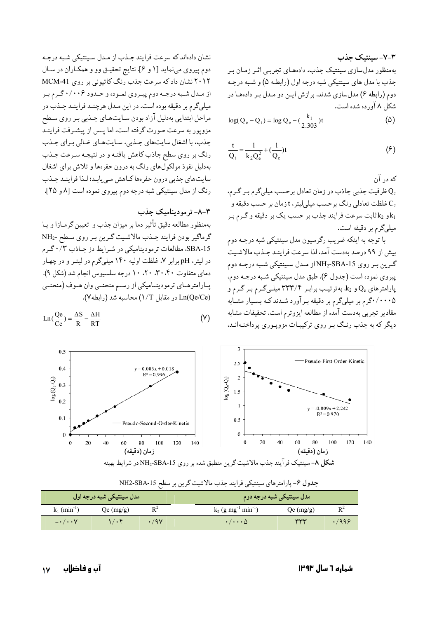۷-۳- سنتیک حذب بهمنظور مدلسازی سینتیک جذب، دادههـای تجربے اثـر زمـان بـر جذب با مدل های سینتیکی شبه درجه اول (رابطـه ۵) و شـبه درجـه دوم (رابطه ۶) مدلسازی شدند. برازش این دو مـدل بـر دادههـا در شکل ۸ آورده شده است.

$$
log(Q_e - Q_t) = log Q_e - (\frac{k_1}{2.303})t
$$
 (2)

$$
\frac{t}{Q_t} = \frac{1}{k_2 Q_e^2} + (\frac{1}{Q_e})t
$$
 (9)

که در آن

ظرفیت جذبی جاذب در زمان تعادل برحسب میلیگرم بـر گـرم،  $\rm{Q_{e}}$ C<sub>e</sub> غلظت تعادلي رنگ برحسب ميلي ليتر، t زمان بر حسب دقيقه و و  $k_2$ ثابت سرعت فرایند جذب بر حسب یک بر دقیقه و گـرم بـر $k_1$ میلی گرم بر دقیقه است.

با توجه به اینکه ضریب رگرسیون مدل سینتیکی شبه درجـه دوم بيش از ٩٩ درصد بهدست آمد، لذا سرعت فراينـد جـذب مالاشـيت گرين بر روي NH2-SBA-15 از مـدل سـينتيکي شـبه درجـه دوم پیروی نموده است (جدول ۶). طبق مدل سینتیکی شـبه درجـه دوم. یارامترهای ،Q و  $\rm k_2$  به ترتیب برابـر ۳۳۳/۴ میلـیگـرم بـر گـرم و ۰۰۰۵/۶گرم بر میلیگرم بر دقیقه بـرآورد شـدندکـه بسـیار مشـابه مقادیر تجربی بهدست آمده از مطالعه ایزوترم است. تحقیقات مشابه دیگر که به جذب رنگ بر روی ترکیبات مزویوری پرداختـهانـد،



 $(Y)$ 

نشان دادهاند که سرعت فرایند جـذب از مـدل سـینتیکی شـبه درجـه

دوم پیروی می نماید [۱ و ۶]. نتایج تحقیـق وو و همکـاران در سـال

۲۰۱۲ نشان داد که سرعت جذب رنگ کاتیونی بر روی MCM-41

از مـدل شـبه درجـه دوم پيـروي نمـوده و حـدود ۰/۰۰۶ گـرم بـر

میلیگرم بر دقیقه بوده است. در این مـدل هرچنـد فراینـد جـذب در

مراحل ابتدایی بهدلیل آزاد بودن سـایتهـای جـذبی بـر روی سـطح مزوپور به سرعت صورت گرفته است، اما پـس از پیشـرفت فراینـد جذب، با اشغال سایتهای جـذبی، سـایتهـای خـالی بـرای جـذب رنگ بر روی سطح جاذب کاهش یافتـه و در نتیجـه سـرعت جـذب بهدلیل نفوذ مولکولهای رنگ به درون حفرهها و تلاش برای اشغال

سايت هاي جذبي درون حفرهها كـاهش مـي يابـد؛ لـذا فراينـد جـذب رنگ از مدل سینتیکی شبه درجه دوم پیروی نموده است [۸ و ۲۵].

بهمنظور مطالعه دقیق تأثیر دما بر میزان جذب و تعیین گرمـازا و یـا

گرماگیر بودن فرایند جـذب مالاشـیت گـرین بـر روی سـطح -NH2

SBA-15، مطالعات ترمودینامیکی در شرایط دز جـاذب ۰/۳ گـرم

در ليتر، pH برابر V، غلظت اوليه ١۴٠ ميلي گرم در ليتير و در چهبار

دمای متفاوت ۰۲۰،۴۰، ۲۰، ۱۰ درجه سلسیوس انجام شد (شکل ۹).

پـارامترهـاي ترمودينـاميكي از رسـم منحنــي وان هـوف (منحنــي

Ln(Qe/Ce) در مقابل ١/T) محاسبه شد (رابطه٧).

۸-۳- تر مودینامیک جذب

|                            | مدل سینتیکی شبه درجه اول |      |                                               | مدل سینتیکی شبه درجه دوم |       |
|----------------------------|--------------------------|------|-----------------------------------------------|--------------------------|-------|
| $k_1$ (min <sup>-1</sup> ) | Qe (mg/g)                |      | $k_2$ (g mg <sup>-1</sup> min <sup>-1</sup> ) | Qe (mg/g)                |       |
| $-\cdot/\cdot\cdot$ $\vee$ | ۱/۰۴                     | .79V | $\cdot/\cdot\cdot\Delta$                      |                          | .7999 |

جدول ۶- پارامتر های سینتیکی فرایند جذب مالاشیت گرین بر سطح NH2-SBA-15

آں و فاضلاں  $\mathbf{1} \mathbf{V}$ 

 $Ln(\frac{Qe}{Ce}) = \frac{\Delta S}{R} - \frac{\Delta H}{RT}$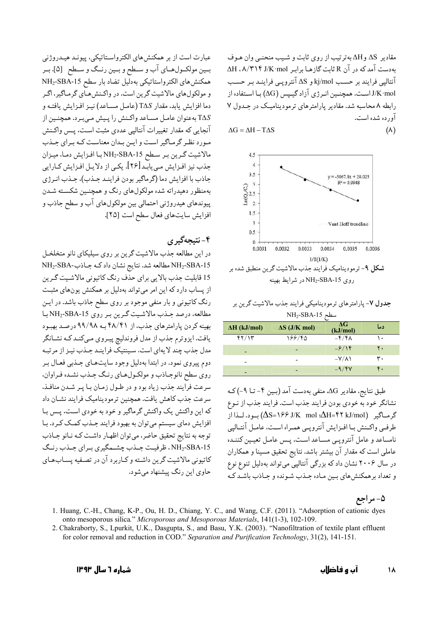مقادير ΔS وΔH بهترتيب از روى ثابت و شـيب منحنـي وان هـوف به دست آمد که در آن R ثابت گازها برابر AH .  $\land$ /٣١۴ J/K · mol آنتالیی فرایند بر حسب kj/mol و AS آنترویـی فراینـد بـر حسب J/K·mol است. همچنـین انـرژی آزاد گیـپس (QG) بـا اسـتفاده از رابطه ۸ محاسبه شد. مقادیر پارامترهای ترمودینامیک در جـدول ۷ آورده شده است.

 $(\wedge)$ 

 $\Delta G = \Delta H - T \Delta S$ 



جدول ۷- پارامترهای ترمودینامیکی فرایند جذب مالاشیت گرین بر سطح NH<sub>2</sub>-SBA-15

| $\Delta H$ (kJ/mol)          | $\Delta S$ (J/K mol)     | AG<br>(kJ/mol)           | دما |
|------------------------------|--------------------------|--------------------------|-----|
| $f\uparrow/\uparrow\uparrow$ | 188/40                   | $-\frac{\rho}{\pi}$      | ۱.  |
| $\overline{\phantom{0}}$     | $\overline{\phantom{0}}$ | $-\frac{\mathcal{S}}{8}$ | ٢٠  |
|                              |                          | $-Y/\lambda$             | ۳.  |
| -                            |                          | $-9/8V$                  | ۴.  |

طبق نتايج، مقادير ∆G، منفي بهدست آمد (بـين ۴− تــا ۹−)كـه نشانگر خود به خودي بودن فرايند جذب است. فرايند جذب از نـوع گر مساگير (AS=۱۶۶ J/K) mol : ΔH=۴۲ kJ/mol) بود. لــذا از طرفبي واكسنش بيا افيزايش آنترويبي هعبراه است، عاميل آنتياليي نامساعد و عامل آنترویمی مسـاعد اسـت، پـس عامـل تعیمین کننـده عاملی است که مقدار آن بیشتر باشد. نتایج تحقیق مسینا و همکاران در سال ۲۰۰۶ نشان داد که بزرگی آنتالپی میتواند بهدلیل تنوع نوع و تعداد برهمکنش های بین ماده جـذب شـونده و جـاذب باشـد کـه

۵- مراجع

1. Huang, C.-H., Chang, K-P., Ou, H. D., Chiang, Y. C., and Wang, C.F. (2011). "Adsorption of cationic dyes onto mesoporous silica." Microporous and Mesoporous Materials, 141(1-3), 102-109.

عبارت است از بر همکنش های الکترواسـتاتیکی، پیونـد هیـدروژنی بين مولكول هـاي آب و سـطح و بـين رنـگ و سـطح [۵]. بـر همكنش هاى الكترواستاتيكي بهدليل تضاد بار سطح NH2-SBA-15 و مولکولهای مالاشیت گرین است. در واکـنش،هـای گرمـاگیر، اگـر دما افزايش يابد، مقدار TAS (عامـل مسـاعد) نيـز افـزايش يافتـه و TAS به عنوان عامـل مسـاعد واكـنش را يـيش مـي بـرد. همچنـين از آنجایی که مقدار تغییرات آنتالپی عددی مثبت است، پس واکـنش مورد نظر گرماگیر است و ایـن بـدان معناسـت کـه بـرای جـذب مالاشيت گرين بر سطح NH2-SBA-15 با افزايش دما، ميزان جذب نیز افـزایش مـیLبابـد[۲۶]. یکـی از دلایـل افـزایش کـارایی جاذب با افزايش دما (گرماگير بودن فراينـد جـذب)، جـذب انـرژي بهمنظور دهیدراته شده مولکولهای رنگ و همچنین شکسته شدن پیوندهای هیدروژنی احتمالی بین مولکولهای آب و سطح جاذب و افزايش سايتهاي فعال سطح است [٢٥].

### ۴-نتىجەگىرى

در این مطالعه جذب مالاشیت گرین بر روی سیلیکای نانو متخلخـل  $NH_2$ -SBA-15 مطالعه شد. نتايج نشان داد كـه جـاذب $NH_2$ -SBA-15 15 قابلیت جذب بالایی برای حذف رنگ کاتیونی مالاشیت گرین از پساب دارد که این امر میتواند بهدلیل بر همکنش پونهای مثبت رنگ کاتیونی و بار منفی موجود بر روی سطح جاذب باشد. در ایـن مطالعه، درصد جذب مالاشيت گرين بر روي NH2-SBA-15 با بهینه کردن یارامترهای جذب، از ۴۸/۴۱ به ۹۹/۹۸ درصد بهبود یافت. ایزوترم جذب از مدل فروندلیچ پیروی میکند که نشانگر مدل جذب چند لا یهای است. سینتیک فراینـد جـذب نیـز از مرتبـه دوم پیروی نمود. در ابتدا بهدلیل وجود سایتهای جـذبی فعـال بـر روي سطح نانوجـاذب و مولكـولهـاي رنـگ جـذب نشـده فـراوان. سرعت فرايند جذب زياد بود و در طول زمان با پر شدن منافذ، سرعت جذب كاهش يافت. همچنين ترموديناميك فرايند نشـان داد كه اين واكنش يك واكنش گرماگير و خود به خودي است، پس با افزایش دمای سیستم می توان به بهبود فرایند جـذب کمـک کـرد. بـا توجه به نتايج تحقيق حاضر، مي توان اظهـار داشـت كـه نـانو جـاذب NH2-SBA-15 ، ظرفیت جیذب چشبهگیری بیرای جیذب رنیگ كاتيوني مالاشيت گرين داشته و كـاربرد آن در تصـفيه يسـابهـاي جاوی این رنگ پیشنهاد می شود.

شماره ٦ سال ۱۳۹۳

<sup>2.</sup> Chakraborty, S., Lpurkit, U.K., Dasgupta, S., and Basu, Y.K. (2003). "Nanofiltration of textile plant effluent for color removal and reduction in COD." Separation and Purification Technology, 31(2), 141-151.